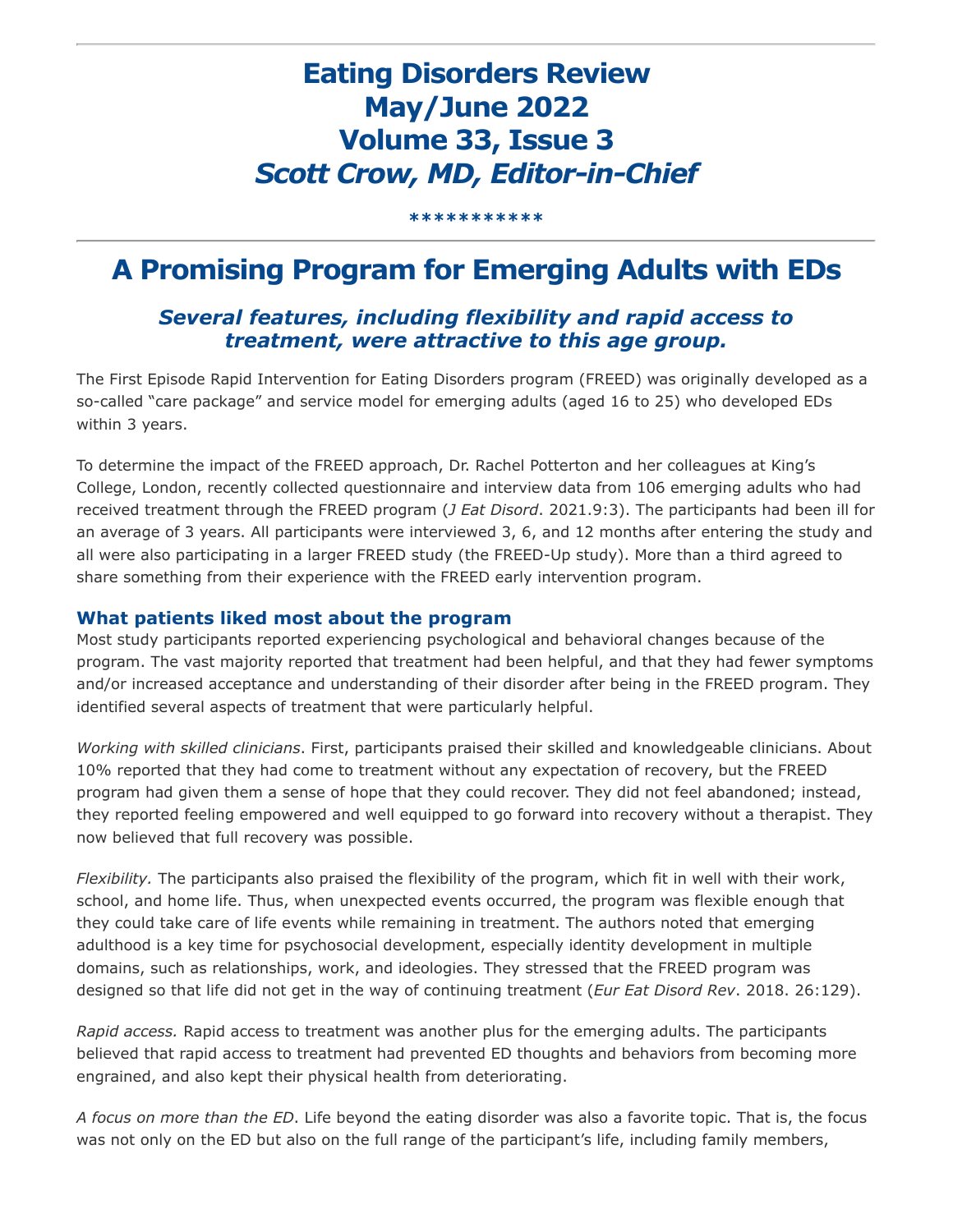# **Eating Disorders Review May/June 2022 Volume 33, Issue 3** *Scott Crow, MD, Editor-in-Chief*

**\*\*\*\*\*\*\*\*\*\*\***

# **A Promising Program for Emerging Adults with EDs**

### *Several features, including flexibility and rapid access to treatment, were attractive to this age group.*

The First Episode Rapid Intervention for Eating Disorders program (FREED) was originally developed as a so-called "care package" and service model for emerging adults (aged 16 to 25) who developed EDs within 3 years.

To determine the impact of the FREED approach, Dr. Rachel Potterton and her colleagues at King's College, London, recently collected questionnaire and interview data from 106 emerging adults who had received treatment through the FREED program (*J Eat Disord*. 2021.9:3). The participants had been ill for an average of 3 years. All participants were interviewed 3, 6, and 12 months after entering the study and all were also participating in a larger FREED study (the FREED-Up study). More than a third agreed to share something from their experience with the FREED early intervention program.

#### **What patients liked most about the program**

Most study participants reported experiencing psychological and behavioral changes because of the program. The vast majority reported that treatment had been helpful, and that they had fewer symptoms and/or increased acceptance and understanding of their disorder after being in the FREED program. They identified several aspects of treatment that were particularly helpful.

*Working with skilled clinicians*. First, participants praised their skilled and knowledgeable clinicians. About 10% reported that they had come to treatment without any expectation of recovery, but the FREED program had given them a sense of hope that they could recover. They did not feel abandoned; instead, they reported feeling empowered and well equipped to go forward into recovery without a therapist. They now believed that full recovery was possible.

*Flexibility.* The participants also praised the flexibility of the program, which fit in well with their work, school, and home life. Thus, when unexpected events occurred, the program was flexible enough that they could take care of life events while remaining in treatment. The authors noted that emerging adulthood is a key time for psychosocial development, especially identity development in multiple domains, such as relationships, work, and ideologies. They stressed that the FREED program was designed so that life did not get in the way of continuing treatment (*Eur Eat Disord Rev*. 2018. 26:129).

*Rapid access.* Rapid access to treatment was another plus for the emerging adults. The participants believed that rapid access to treatment had prevented ED thoughts and behaviors from becoming more engrained, and also kept their physical health from deteriorating.

*A focus on more than the ED*. Life beyond the eating disorder was also a favorite topic. That is, the focus was not only on the ED but also on the full range of the participant's life, including family members,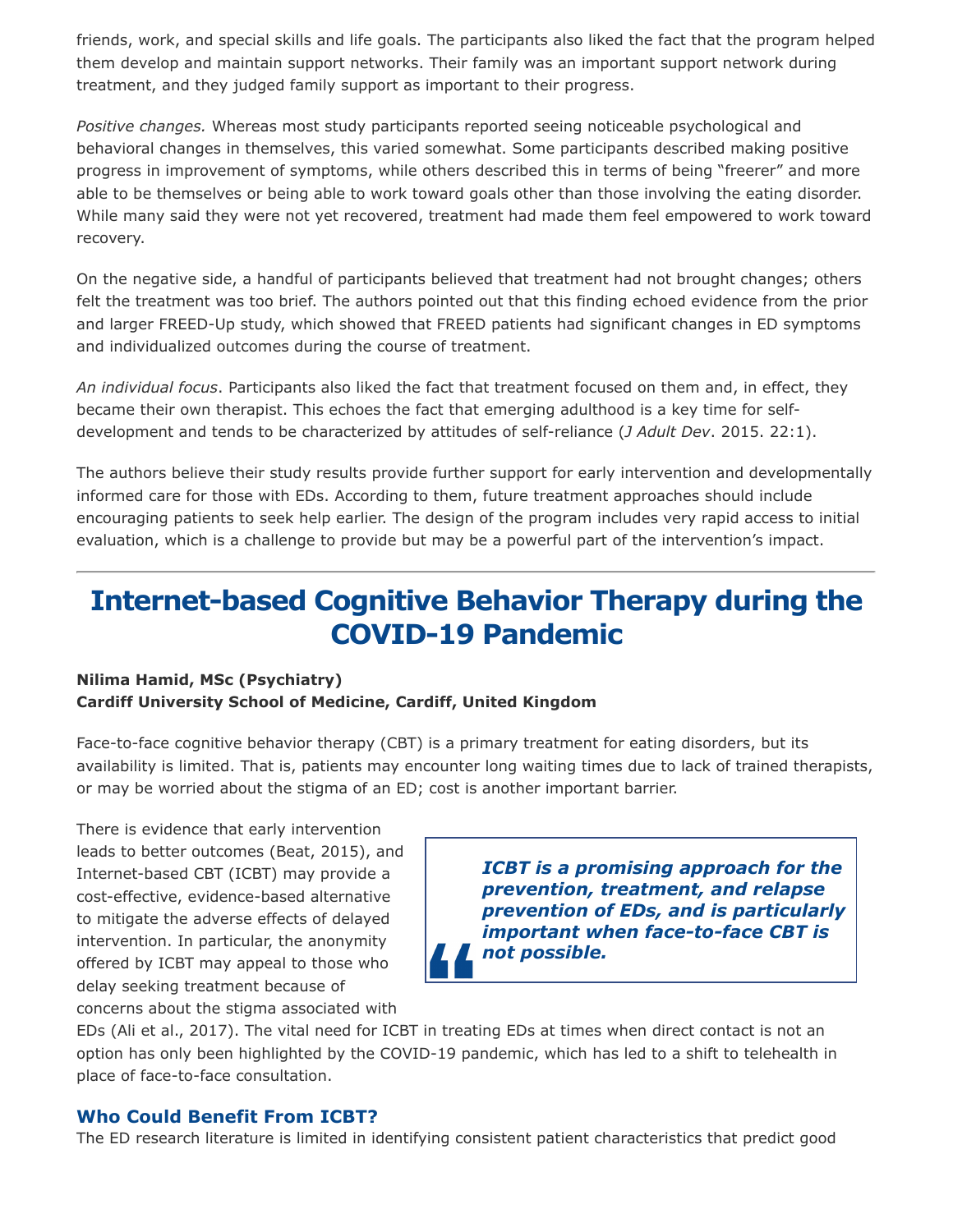friends, work, and special skills and life goals. The participants also liked the fact that the program helped them develop and maintain support networks. Their family was an important support network during treatment, and they judged family support as important to their progress.

*Positive changes.* Whereas most study participants reported seeing noticeable psychological and behavioral changes in themselves, this varied somewhat. Some participants described making positive progress in improvement of symptoms, while others described this in terms of being "freerer" and more able to be themselves or being able to work toward goals other than those involving the eating disorder. While many said they were not yet recovered, treatment had made them feel empowered to work toward recovery.

On the negative side, a handful of participants believed that treatment had not brought changes; others felt the treatment was too brief. The authors pointed out that this finding echoed evidence from the prior and larger FREED-Up study, which showed that FREED patients had significant changes in ED symptoms and individualized outcomes during the course of treatment.

*An individual focus*. Participants also liked the fact that treatment focused on them and, in effect, they became their own therapist. This echoes the fact that emerging adulthood is a key time for selfdevelopment and tends to be characterized by attitudes of self-reliance (*J Adult Dev*. 2015. 22:1).

The authors believe their study results provide further support for early intervention and developmentally informed care for those with EDs. According to them, future treatment approaches should include encouraging patients to seek help earlier. The design of the program includes very rapid access to initial evaluation, which is a challenge to provide but may be a powerful part of the intervention's impact.

## **Internet-based Cognitive Behavior Therapy during the COVID-19 Pandemic**

#### **Nilima Hamid, MSc (Psychiatry) Cardiff University School of Medicine, Cardiff, United Kingdom**

Face-to-face cognitive behavior therapy (CBT) is a primary treatment for eating disorders, but its availability is limited. That is, patients may encounter long waiting times due to lack of trained therapists, or may be worried about the stigma of an ED; cost is another important barrier.

There is evidence that early intervention leads to better outcomes (Beat, 2015), and Internet-based CBT (ICBT) may provide a cost-effective, evidence-based alternative to mitigate the adverse effects of delayed intervention. In particular, the anonymity offered by ICBT may appeal to those who delay seeking treatment because of

*ICBT is a promising approach for the prevention, treatment, and relapse prevention of EDs, and is particularly important when face-to-face CBT is not possible.*

concerns about the stigma associated with

EDs (Ali et al., 2017). The vital need for ICBT in treating EDs at times when direct contact is not an option has only been highlighted by the COVID-19 pandemic, which has led to a shift to telehealth in place of face-to-face consultation.

#### **Who Could Benefit From ICBT?**

The ED research literature is limited in identifying consistent patient characteristics that predict good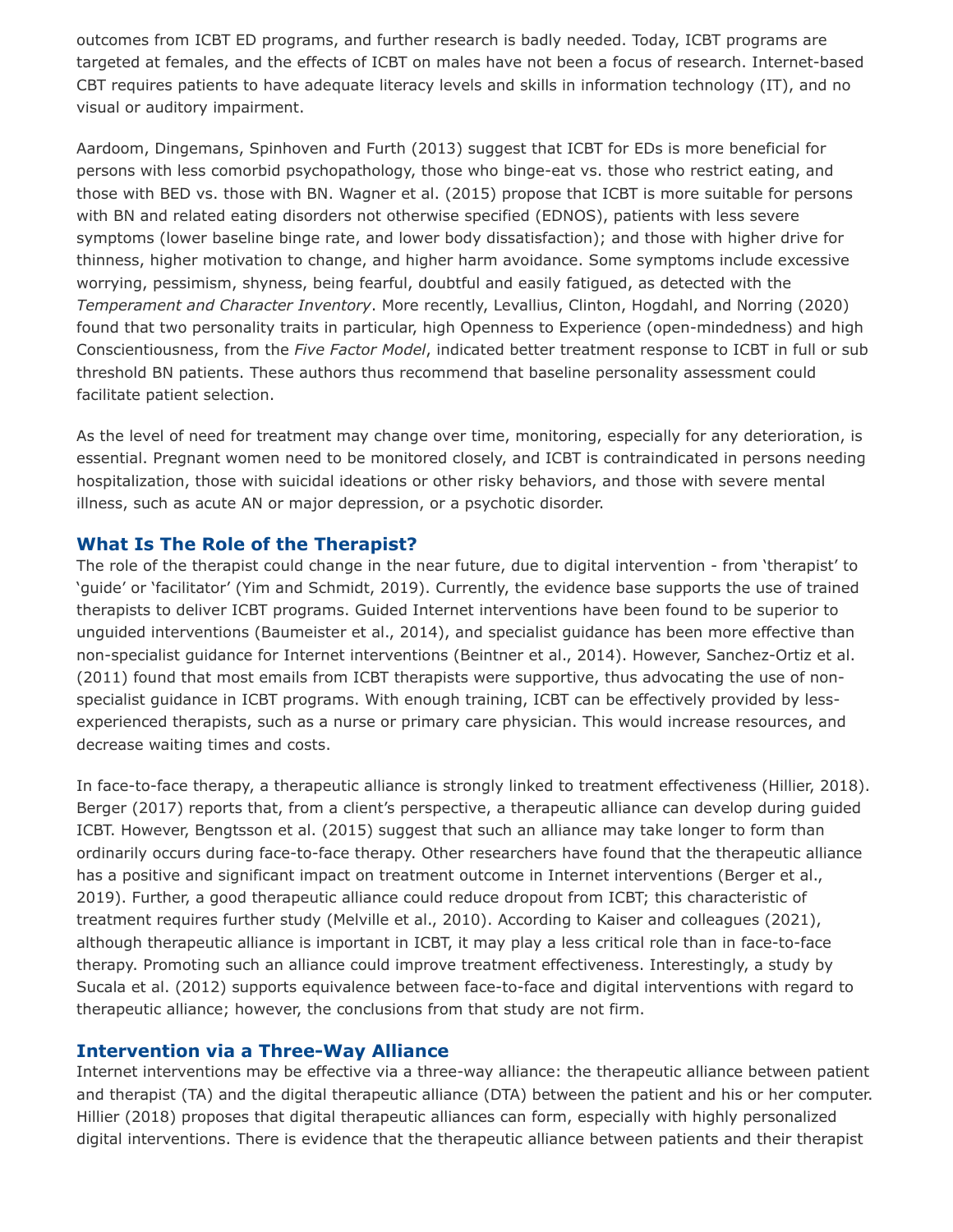outcomes from ICBT ED programs, and further research is badly needed. Today, ICBT programs are targeted at females, and the effects of ICBT on males have not been a focus of research. Internet-based CBT requires patients to have adequate literacy levels and skills in information technology (IT), and no visual or auditory impairment.

Aardoom, Dingemans, Spinhoven and Furth (2013) suggest that ICBT for EDs is more beneficial for persons with less comorbid psychopathology, those who binge-eat vs. those who restrict eating, and those with BED vs. those with BN. Wagner et al. (2015) propose that ICBT is more suitable for persons with BN and related eating disorders not otherwise specified (EDNOS), patients with less severe symptoms (lower baseline binge rate, and lower body dissatisfaction); and those with higher drive for thinness, higher motivation to change, and higher harm avoidance. Some symptoms include excessive worrying, pessimism, shyness, being fearful, doubtful and easily fatigued, as detected with the *Temperament and Character Inventory*. More recently, Levallius, Clinton, Hogdahl, and Norring (2020) found that two personality traits in particular, high Openness to Experience (open-mindedness) and high Conscientiousness, from the *Five Factor Model*, indicated better treatment response to ICBT in full or sub threshold BN patients. These authors thus recommend that baseline personality assessment could facilitate patient selection.

As the level of need for treatment may change over time, monitoring, especially for any deterioration, is essential. Pregnant women need to be monitored closely, and ICBT is contraindicated in persons needing hospitalization, those with suicidal ideations or other risky behaviors, and those with severe mental illness, such as acute AN or major depression, or a psychotic disorder.

#### **What Is The Role of the Therapist?**

The role of the therapist could change in the near future, due to digital intervention - from 'therapist' to 'guide' or 'facilitator' (Yim and Schmidt, 2019). Currently, the evidence base supports the use of trained therapists to deliver ICBT programs. Guided Internet interventions have been found to be superior to unguided interventions (Baumeister et al., 2014), and specialist guidance has been more effective than non-specialist guidance for Internet interventions (Beintner et al., 2014). However, Sanchez-Ortiz et al. (2011) found that most emails from ICBT therapists were supportive, thus advocating the use of nonspecialist guidance in ICBT programs. With enough training, ICBT can be effectively provided by lessexperienced therapists, such as a nurse or primary care physician. This would increase resources, and decrease waiting times and costs.

In face-to-face therapy, a therapeutic alliance is strongly linked to treatment effectiveness (Hillier, 2018). Berger (2017) reports that, from a client's perspective, a therapeutic alliance can develop during guided ICBT. However, Bengtsson et al. (2015) suggest that such an alliance may take longer to form than ordinarily occurs during face-to-face therapy. Other researchers have found that the therapeutic alliance has a positive and significant impact on treatment outcome in Internet interventions (Berger et al., 2019). Further, a good therapeutic alliance could reduce dropout from ICBT; this characteristic of treatment requires further study (Melville et al., 2010). According to Kaiser and colleagues (2021), although therapeutic alliance is important in ICBT, it may play a less critical role than in face-to-face therapy. Promoting such an alliance could improve treatment effectiveness. Interestingly, a study by Sucala et al. (2012) supports equivalence between face-to-face and digital interventions with regard to therapeutic alliance; however, the conclusions from that study are not firm.

#### **Intervention via a Three-Way Alliance**

Internet interventions may be effective via a three-way alliance: the therapeutic alliance between patient and therapist (TA) and the digital therapeutic alliance (DTA) between the patient and his or her computer. Hillier (2018) proposes that digital therapeutic alliances can form, especially with highly personalized digital interventions. There is evidence that the therapeutic alliance between patients and their therapist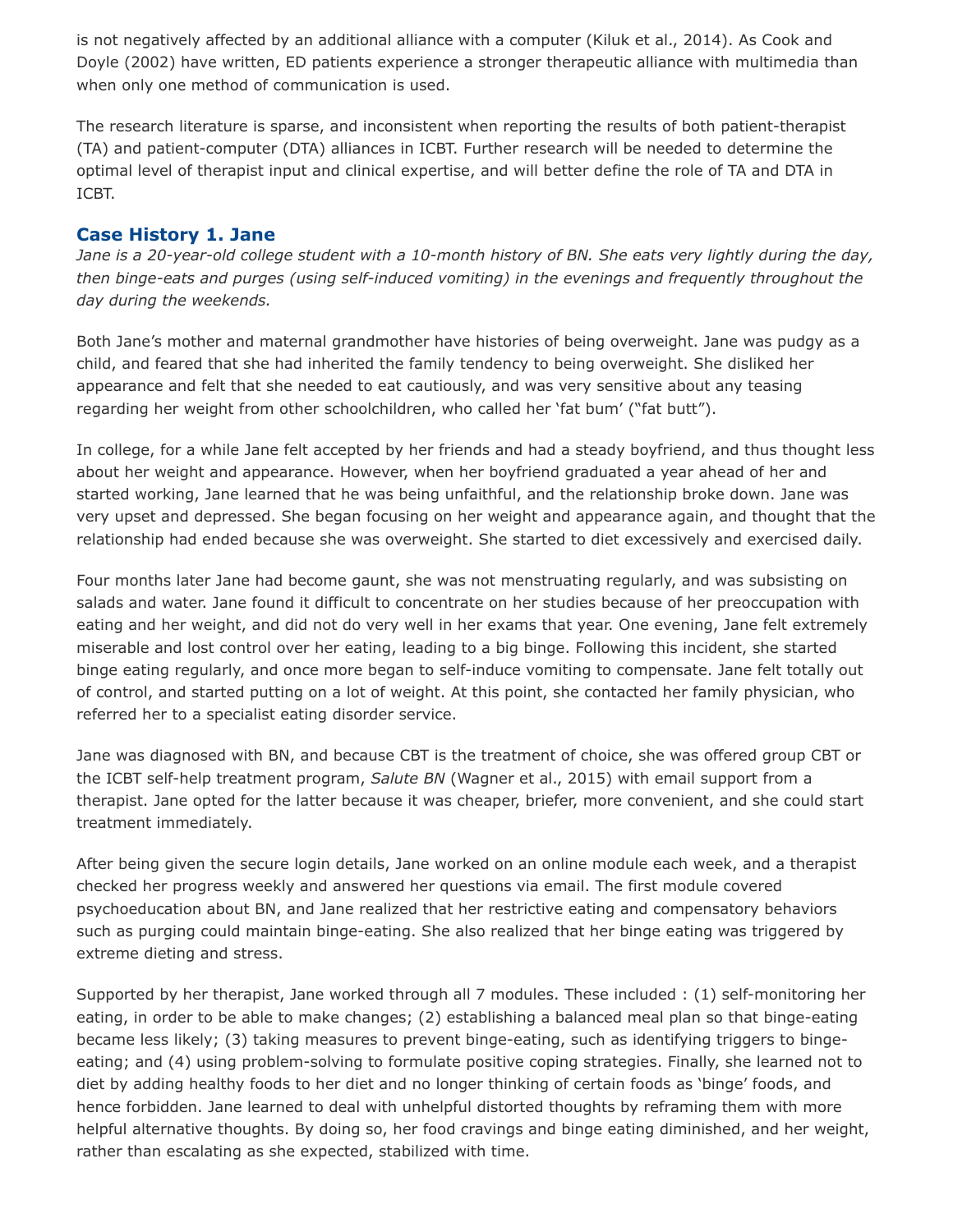is not negatively affected by an additional alliance with a computer (Kiluk et al., 2014). As Cook and Doyle (2002) have written, ED patients experience a stronger therapeutic alliance with multimedia than when only one method of communication is used.

The research literature is sparse, and inconsistent when reporting the results of both patient-therapist (TA) and patient-computer (DTA) alliances in ICBT. Further research will be needed to determine the optimal level of therapist input and clinical expertise, and will better define the role of TA and DTA in ICBT.

#### **Case History 1. Jane**

*Jane is a 20-year-old college student with a 10-month history of BN. She eats very lightly during the day, then binge-eats and purges (using self-induced vomiting) in the evenings and frequently throughout the day during the weekends.*

Both Jane's mother and maternal grandmother have histories of being overweight. Jane was pudgy as a child, and feared that she had inherited the family tendency to being overweight. She disliked her appearance and felt that she needed to eat cautiously, and was very sensitive about any teasing regarding her weight from other schoolchildren, who called her 'fat bum' ("fat butt").

In college, for a while Jane felt accepted by her friends and had a steady boyfriend, and thus thought less about her weight and appearance. However, when her boyfriend graduated a year ahead of her and started working, Jane learned that he was being unfaithful, and the relationship broke down. Jane was very upset and depressed. She began focusing on her weight and appearance again, and thought that the relationship had ended because she was overweight. She started to diet excessively and exercised daily.

Four months later Jane had become gaunt, she was not menstruating regularly, and was subsisting on salads and water. Jane found it difficult to concentrate on her studies because of her preoccupation with eating and her weight, and did not do very well in her exams that year. One evening, Jane felt extremely miserable and lost control over her eating, leading to a big binge. Following this incident, she started binge eating regularly, and once more began to self-induce vomiting to compensate. Jane felt totally out of control, and started putting on a lot of weight. At this point, she contacted her family physician, who referred her to a specialist eating disorder service.

Jane was diagnosed with BN, and because CBT is the treatment of choice, she was offered group CBT or the ICBT self-help treatment program, *Salute BN* (Wagner et al., 2015) with email support from a therapist. Jane opted for the latter because it was cheaper, briefer, more convenient, and she could start treatment immediately.

After being given the secure login details, Jane worked on an online module each week, and a therapist checked her progress weekly and answered her questions via email. The first module covered psychoeducation about BN, and Jane realized that her restrictive eating and compensatory behaviors such as purging could maintain binge-eating. She also realized that her binge eating was triggered by extreme dieting and stress.

Supported by her therapist, Jane worked through all 7 modules. These included : (1) self-monitoring her eating, in order to be able to make changes; (2) establishing a balanced meal plan so that binge-eating became less likely; (3) taking measures to prevent binge-eating, such as identifying triggers to bingeeating; and (4) using problem-solving to formulate positive coping strategies. Finally, she learned not to diet by adding healthy foods to her diet and no longer thinking of certain foods as 'binge' foods, and hence forbidden. Jane learned to deal with unhelpful distorted thoughts by reframing them with more helpful alternative thoughts. By doing so, her food cravings and binge eating diminished, and her weight, rather than escalating as she expected, stabilized with time.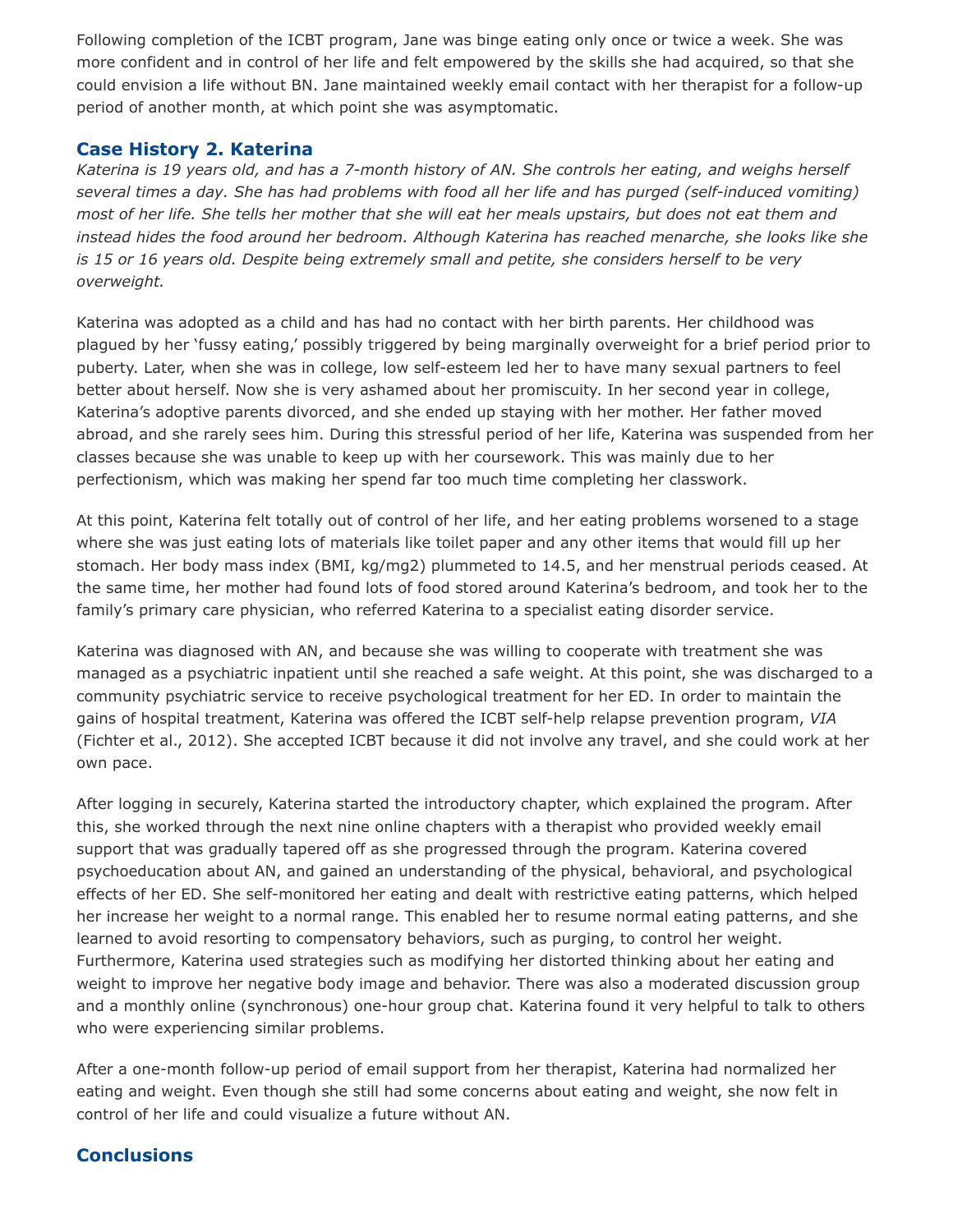Following completion of the ICBT program, Jane was binge eating only once or twice a week. She was more confident and in control of her life and felt empowered by the skills she had acquired, so that she could envision a life without BN. Jane maintained weekly email contact with her therapist for a follow-up period of another month, at which point she was asymptomatic.

#### **Case History 2. Katerina**

*Katerina is 19 years old, and has a 7-month history of AN. She controls her eating, and weighs herself several times a day. She has had problems with food all her life and has purged (self-induced vomiting) most of her life. She tells her mother that she will eat her meals upstairs, but does not eat them and instead hides the food around her bedroom. Although Katerina has reached menarche, she looks like she is 15 or 16 years old. Despite being extremely small and petite, she considers herself to be very overweight.*

Katerina was adopted as a child and has had no contact with her birth parents. Her childhood was plagued by her 'fussy eating,' possibly triggered by being marginally overweight for a brief period prior to puberty. Later, when she was in college, low self-esteem led her to have many sexual partners to feel better about herself. Now she is very ashamed about her promiscuity. In her second year in college, Katerina's adoptive parents divorced, and she ended up staying with her mother. Her father moved abroad, and she rarely sees him. During this stressful period of her life, Katerina was suspended from her classes because she was unable to keep up with her coursework. This was mainly due to her perfectionism, which was making her spend far too much time completing her classwork.

At this point, Katerina felt totally out of control of her life, and her eating problems worsened to a stage where she was just eating lots of materials like toilet paper and any other items that would fill up her stomach. Her body mass index (BMI, kg/mg2) plummeted to 14.5, and her menstrual periods ceased. At the same time, her mother had found lots of food stored around Katerina's bedroom, and took her to the family's primary care physician, who referred Katerina to a specialist eating disorder service.

Katerina was diagnosed with AN, and because she was willing to cooperate with treatment she was managed as a psychiatric inpatient until she reached a safe weight. At this point, she was discharged to a community psychiatric service to receive psychological treatment for her ED. In order to maintain the gains of hospital treatment, Katerina was offered the ICBT self-help relapse prevention program, *VIA* (Fichter et al., 2012). She accepted ICBT because it did not involve any travel, and she could work at her own pace.

After logging in securely, Katerina started the introductory chapter, which explained the program. After this, she worked through the next nine online chapters with a therapist who provided weekly email support that was gradually tapered off as she progressed through the program. Katerina covered psychoeducation about AN, and gained an understanding of the physical, behavioral, and psychological effects of her ED. She self-monitored her eating and dealt with restrictive eating patterns, which helped her increase her weight to a normal range. This enabled her to resume normal eating patterns, and she learned to avoid resorting to compensatory behaviors, such as purging, to control her weight. Furthermore, Katerina used strategies such as modifying her distorted thinking about her eating and weight to improve her negative body image and behavior. There was also a moderated discussion group and a monthly online (synchronous) one-hour group chat. Katerina found it very helpful to talk to others who were experiencing similar problems.

After a one-month follow-up period of email support from her therapist, Katerina had normalized her eating and weight. Even though she still had some concerns about eating and weight, she now felt in control of her life and could visualize a future without AN.

### **Conclusions**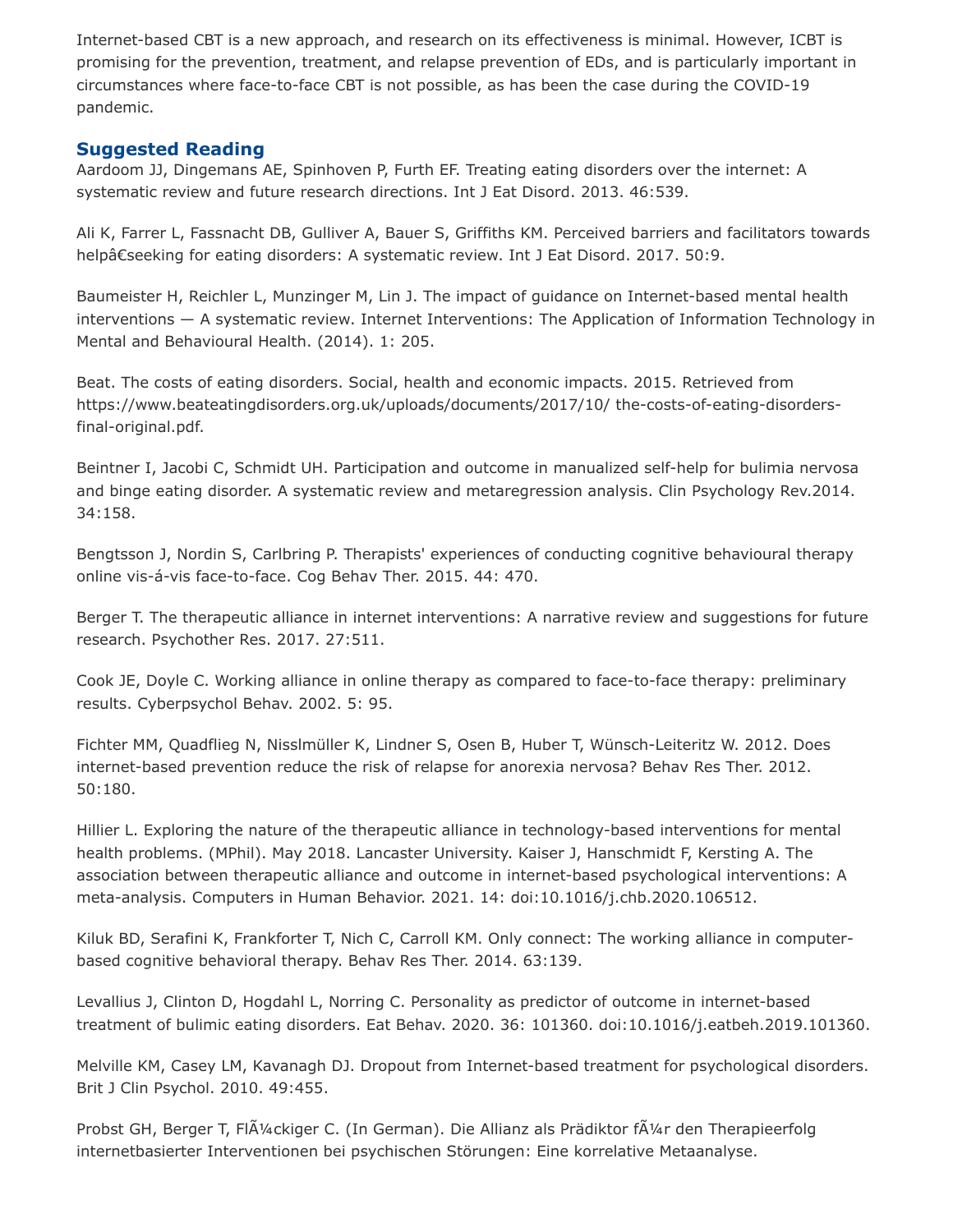Internet-based CBT is a new approach, and research on its effectiveness is minimal. However, ICBT is promising for the prevention, treatment, and relapse prevention of EDs, and is particularly important in circumstances where face-to-face CBT is not possible, as has been the case during the COVID-19 pandemic.

#### **Suggested Reading**

Aardoom JJ, Dingemans AE, Spinhoven P, Furth EF. Treating eating disorders over the internet: A systematic review and future research directions. Int J Eat Disord. 2013. 46:539.

Ali K, Farrer L, Fassnacht DB, Gulliver A, Bauer S, Griffiths KM. Perceived barriers and facilitators towards helpâ€seeking for eating disorders: A systematic review. Int J Eat Disord. 2017. 50:9.

Baumeister H, Reichler L, Munzinger M, Lin J. The impact of guidance on Internet-based mental health interventions — A systematic review. Internet Interventions: The Application of Information Technology in Mental and Behavioural Health. (2014). 1: 205.

Beat. The costs of eating disorders. Social, health and economic impacts. 2015. Retrieved from https://www.beateatingdisorders.org.uk/uploads/documents/2017/10/ the-costs-of-eating-disordersfinal-original.pdf.

Beintner I, Jacobi C, Schmidt UH. Participation and outcome in manualized self-help for bulimia nervosa and binge eating disorder. A systematic review and metaregression analysis. Clin Psychology Rev.2014. 34:158.

Bengtsson J, Nordin S, Carlbring P. Therapists' experiences of conducting cognitive behavioural therapy online vis-á-vis face-to-face. Cog Behav Ther. 2015. 44: 470.

Berger T. The therapeutic alliance in internet interventions: A narrative review and suggestions for future research. Psychother Res. 2017. 27:511.

Cook JE, Doyle C. Working alliance in online therapy as compared to face-to-face therapy: preliminary results. Cyberpsychol Behav. 2002. 5: 95.

Fichter MM, Quadflieg N, Nisslmüller K, Lindner S, Osen B, Huber T, Wünsch-Leiteritz W. 2012. Does internet-based prevention reduce the risk of relapse for anorexia nervosa? Behav Res Ther. 2012. 50:180.

Hillier L. Exploring the nature of the therapeutic alliance in technology-based interventions for mental health problems. (MPhil). May 2018. Lancaster University. Kaiser J, Hanschmidt F, Kersting A. The association between therapeutic alliance and outcome in internet-based psychological interventions: A meta-analysis. Computers in Human Behavior. 2021. 14: doi:10.1016/j.chb.2020.106512.

Kiluk BD, Serafini K, Frankforter T, Nich C, Carroll KM. Only connect: The working alliance in computerbased cognitive behavioral therapy. Behav Res Ther. 2014. 63:139.

Levallius J, Clinton D, Hogdahl L, Norring C. Personality as predictor of outcome in internet-based treatment of bulimic eating disorders. Eat Behav. 2020. 36: 101360. doi:10.1016/j.eatbeh.2019.101360.

Melville KM, Casey LM, Kavanagh DJ. Dropout from Internet-based treatment for psychological disorders. Brit J Clin Psychol. 2010. 49:455.

Probst GH, Berger T, FlÃ¼ckiger C. (In German). Die Allianz als Prädiktor fÃ¼r den Therapieerfolg internetbasierter Interventionen bei psychischen Störungen: Eine korrelative Metaanalyse.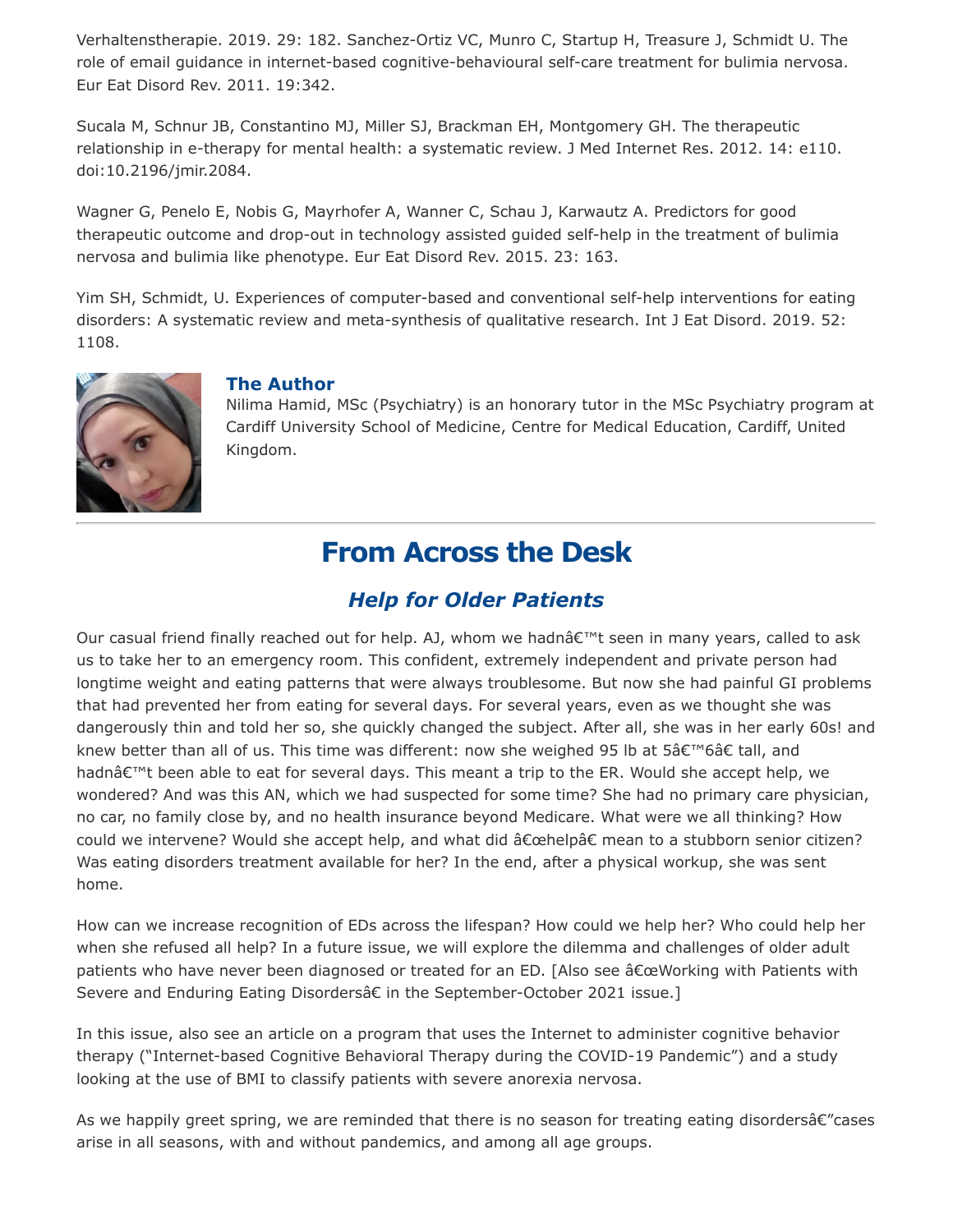Verhaltenstherapie. 2019. 29: 182. Sanchez-Ortiz VC, Munro C, Startup H, Treasure J, Schmidt U. The role of email guidance in internet-based cognitive-behavioural self-care treatment for bulimia nervosa. Eur Eat Disord Rev. 2011. 19:342.

Sucala M, Schnur JB, Constantino MJ, Miller SJ, Brackman EH, Montgomery GH. The therapeutic relationship in e-therapy for mental health: a systematic review. J Med Internet Res. 2012. 14: e110. doi:10.2196/jmir.2084.

Wagner G, Penelo E, Nobis G, Mayrhofer A, Wanner C, Schau J, Karwautz A. Predictors for good therapeutic outcome and drop-out in technology assisted guided self-help in the treatment of bulimia nervosa and bulimia like phenotype. Eur Eat Disord Rev. 2015. 23: 163.

Yim SH, Schmidt, U. Experiences of computer-based and conventional self-help interventions for eating disorders: A systematic review and meta-synthesis of qualitative research. Int J Eat Disord. 2019. 52: 1108.



### **The Author**

Nilima Hamid, MSc (Psychiatry) is an honorary tutor in the MSc Psychiatry program at Cardiff University School of Medicine, Centre for Medical Education, Cardiff, United Kingdom.

## **From Across the Desk**

### *Help for Older Patients*

Our casual friend finally reached out for help. AJ, whom we hadnâ€™t seen in many years, called to ask us to take her to an emergency room. This confident, extremely independent and private person had longtime weight and eating patterns that were always troublesome. But now she had painful GI problems that had prevented her from eating for several days. For several years, even as we thought she was dangerously thin and told her so, she quickly changed the subject. After all, she was in her early 60s! and knew better than all of us. This time was different: now she weighed 95 lb at 5â€™6â€ tall, and hadnâ€™t been able to eat for several days. This meant a trip to the ER. Would she accept help, we wondered? And was this AN, which we had suspected for some time? She had no primary care physician, no car, no family close by, and no health insurance beyond Medicare. What were we all thinking? How could we intervene? Would she accept help, and what did â€œhelpâ€ mean to a stubborn senior citizen? Was eating disorders treatment available for her? In the end, after a physical workup, she was sent home.

How can we increase recognition of EDs across the lifespan? How could we help her? Who could help her when she refused all help? In a future issue, we will explore the dilemma and challenges of older adult patients who have never been diagnosed or treated for an ED. [Also see â€œWorking with Patients with Severe and Enduring Eating Disordersâ€ in the September-October 2021 issue.]

In this issue, also see an article on a program that uses the Internet to administer cognitive behavior therapy ("Internet-based Cognitive Behavioral Therapy during the COVID-19 Pandemic") and a study looking at the use of BMI to classify patients with severe anorexia nervosa.

As we happily greet spring, we are reminded that there is no season for treating eating disordersâ€"cases arise in all seasons, with and without pandemics, and among all age groups.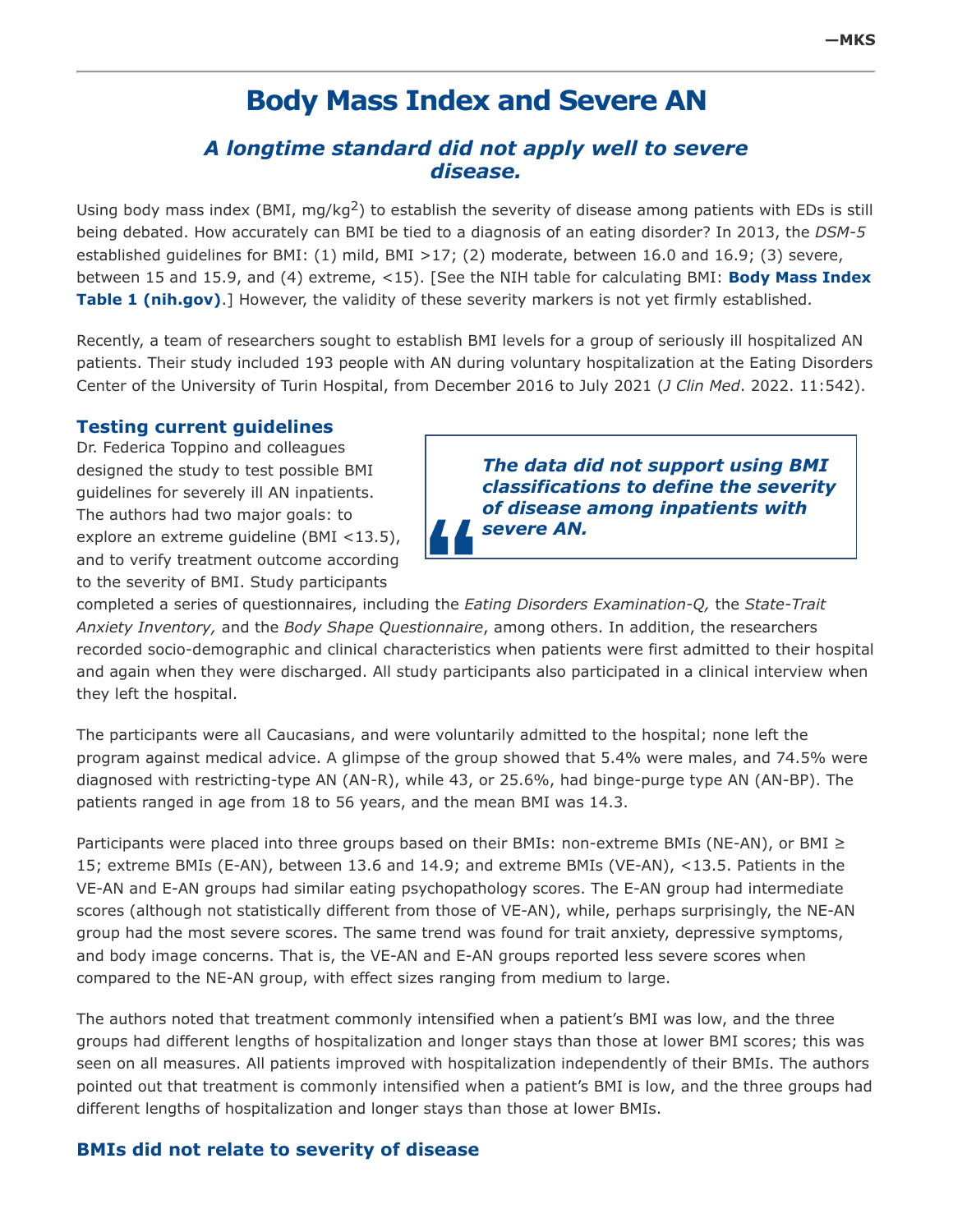## **Body Mass Index and Severe AN**

### *A longtime standard did not apply well to severe disease.*

Using body mass index (BMI, mg/kg<sup>2</sup>) to establish the severity of disease among patients with EDs is still being debated. How accurately can BMI be tied to a diagnosis of an eating disorder? In 2013, the *DSM-5* established guidelines for BMI: (1) mild, BMI >17; (2) moderate, between 16.0 and 16.9; (3) severe, [between 15 and 15.9, and \(4\) extreme, <15\). \[See the NIH table for calculating BMI:](https://www.nhlbi.nih.gov/health/educational/lose_wt/BMI/bmi_tbl.htm) **Body Mass Index Table 1 (nih.gov)**.] However, the validity of these severity markers is not yet firmly established.

Recently, a team of researchers sought to establish BMI levels for a group of seriously ill hospitalized AN patients. Their study included 193 people with AN during voluntary hospitalization at the Eating Disorders Center of the University of Turin Hospital, from December 2016 to July 2021 (*J Clin Med*. 2022. 11:542).

#### **Testing current guidelines**

Dr. Federica Toppino and colleagues designed the study to test possible BMI guidelines for severely ill AN inpatients. The authors had two major goals: to explore an extreme guideline (BMI <13.5), and to verify treatment outcome according to the severity of BMI. Study participants

*The data did not support using BMI classifications to define the severity of disease among inpatients with severe AN.*

completed a series of questionnaires, including the *Eating Disorders Examination-Q,* the *State-Trait Anxiety Inventory,* and the *Body Shape Questionnaire*, among others. In addition, the researchers recorded socio-demographic and clinical characteristics when patients were first admitted to their hospital and again when they were discharged. All study participants also participated in a clinical interview when they left the hospital.

The participants were all Caucasians, and were voluntarily admitted to the hospital; none left the program against medical advice. A glimpse of the group showed that 5.4% were males, and 74.5% were diagnosed with restricting-type AN (AN-R), while 43, or 25.6%, had binge-purge type AN (AN-BP). The patients ranged in age from 18 to 56 years, and the mean BMI was 14.3.

Participants were placed into three groups based on their BMIs: non-extreme BMIs (NE-AN), or BMI ≥ 15; extreme BMIs (E-AN), between 13.6 and 14.9; and extreme BMIs (VE-AN), <13.5. Patients in the VE-AN and E-AN groups had similar eating psychopathology scores. The E-AN group had intermediate scores (although not statistically different from those of VE-AN), while, perhaps surprisingly, the NE-AN group had the most severe scores. The same trend was found for trait anxiety, depressive symptoms, and body image concerns. That is, the VE-AN and E-AN groups reported less severe scores when compared to the NE-AN group, with effect sizes ranging from medium to large.

The authors noted that treatment commonly intensified when a patient's BMI was low, and the three groups had different lengths of hospitalization and longer stays than those at lower BMI scores; this was seen on all measures. All patients improved with hospitalization independently of their BMIs. The authors pointed out that treatment is commonly intensified when a patient's BMI is low, and the three groups had different lengths of hospitalization and longer stays than those at lower BMIs.

#### **BMIs did not relate to severity of disease**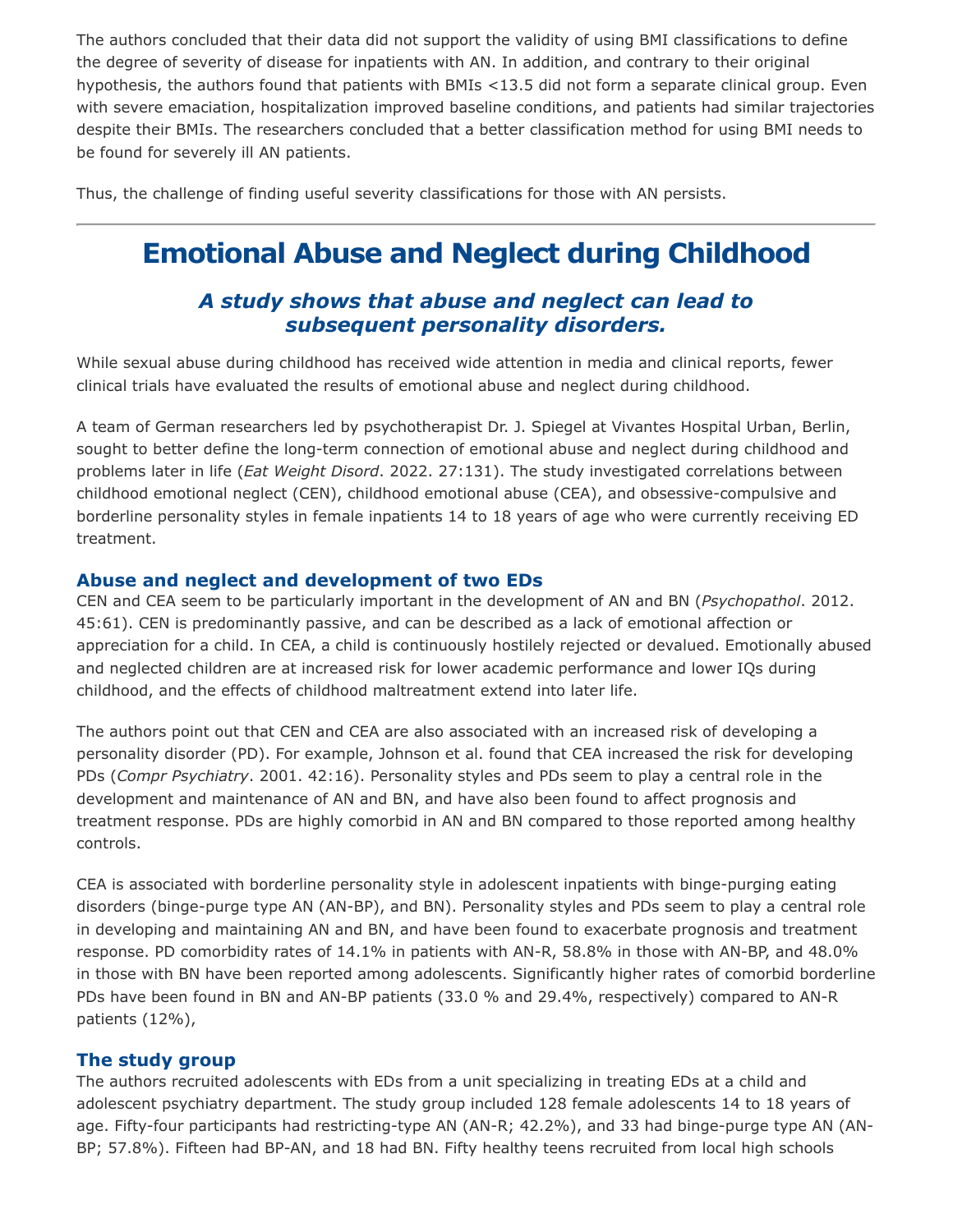The authors concluded that their data did not support the validity of using BMI classifications to define the degree of severity of disease for inpatients with AN. In addition, and contrary to their original hypothesis, the authors found that patients with BMIs <13.5 did not form a separate clinical group. Even with severe emaciation, hospitalization improved baseline conditions, and patients had similar trajectories despite their BMIs. The researchers concluded that a better classification method for using BMI needs to be found for severely ill AN patients.

Thus, the challenge of finding useful severity classifications for those with AN persists.

# **Emotional Abuse and Neglect during Childhood**

### *A study shows that abuse and neglect can lead to subsequent personality disorders.*

While sexual abuse during childhood has received wide attention in media and clinical reports, fewer clinical trials have evaluated the results of emotional abuse and neglect during childhood.

A team of German researchers led by psychotherapist Dr. J. Spiegel at Vivantes Hospital Urban, Berlin, sought to better define the long-term connection of emotional abuse and neglect during childhood and problems later in life (*Eat Weight Disord*. 2022. 27:131). The study investigated correlations between childhood emotional neglect (CEN), childhood emotional abuse (CEA), and obsessive-compulsive and borderline personality styles in female inpatients 14 to 18 years of age who were currently receiving ED treatment.

#### **Abuse and neglect and development of two EDs**

CEN and CEA seem to be particularly important in the development of AN and BN (*Psychopathol*. 2012. 45:61). CEN is predominantly passive, and can be described as a lack of emotional affection or appreciation for a child. In CEA, a child is continuously hostilely rejected or devalued. Emotionally abused and neglected children are at increased risk for lower academic performance and lower IQs during childhood, and the effects of childhood maltreatment extend into later life.

The authors point out that CEN and CEA are also associated with an increased risk of developing a personality disorder (PD). For example, Johnson et al. found that CEA increased the risk for developing PDs (*Compr Psychiatry*. 2001. 42:16). Personality styles and PDs seem to play a central role in the development and maintenance of AN and BN, and have also been found to affect prognosis and treatment response. PDs are highly comorbid in AN and BN compared to those reported among healthy controls.

CEA is associated with borderline personality style in adolescent inpatients with binge-purging eating disorders (binge-purge type AN (AN-BP), and BN). Personality styles and PDs seem to play a central role in developing and maintaining AN and BN, and have been found to exacerbate prognosis and treatment response. PD comorbidity rates of 14.1% in patients with AN-R, 58.8% in those with AN-BP, and 48.0% in those with BN have been reported among adolescents. Significantly higher rates of comorbid borderline PDs have been found in BN and AN-BP patients (33.0 % and 29.4%, respectively) compared to AN-R patients (12%),

#### **The study group**

The authors recruited adolescents with EDs from a unit specializing in treating EDs at a child and adolescent psychiatry department. The study group included 128 female adolescents 14 to 18 years of age. Fifty-four participants had restricting-type AN (AN-R; 42.2%), and 33 had binge-purge type AN (AN-BP; 57.8%). Fifteen had BP-AN, and 18 had BN. Fifty healthy teens recruited from local high schools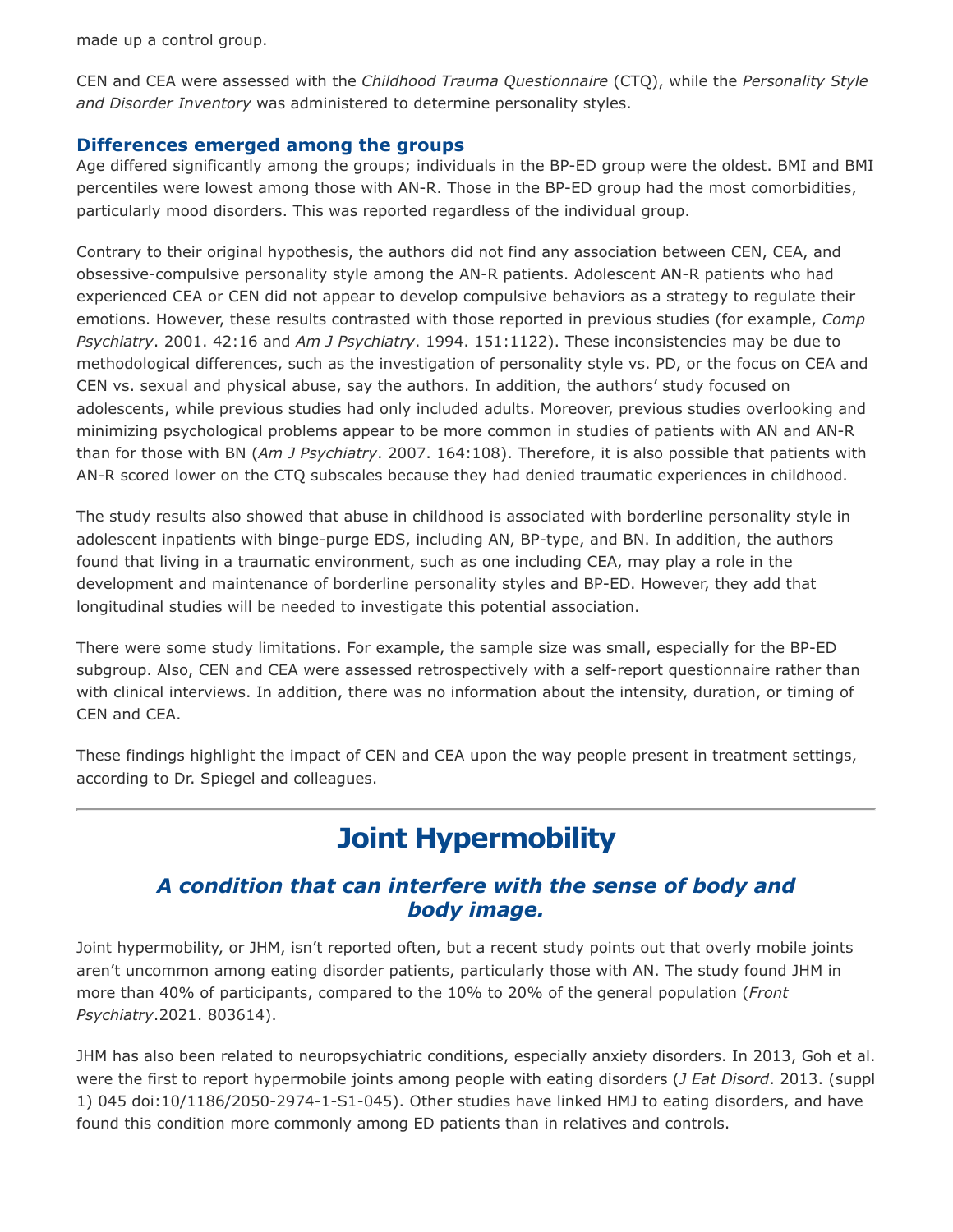made up a control group.

CEN and CEA were assessed with the *Childhood Trauma Questionnaire* (CTQ), while the *Personality Style and Disorder Inventory* was administered to determine personality styles.

#### **Differences emerged among the groups**

Age differed significantly among the groups; individuals in the BP-ED group were the oldest. BMI and BMI percentiles were lowest among those with AN-R. Those in the BP-ED group had the most comorbidities, particularly mood disorders. This was reported regardless of the individual group.

Contrary to their original hypothesis, the authors did not find any association between CEN, CEA, and obsessive-compulsive personality style among the AN-R patients. Adolescent AN-R patients who had experienced CEA or CEN did not appear to develop compulsive behaviors as a strategy to regulate their emotions. However, these results contrasted with those reported in previous studies (for example, *Comp Psychiatry*. 2001. 42:16 and *Am J Psychiatry*. 1994. 151:1122). These inconsistencies may be due to methodological differences, such as the investigation of personality style vs. PD, or the focus on CEA and CEN vs. sexual and physical abuse, say the authors. In addition, the authors' study focused on adolescents, while previous studies had only included adults. Moreover, previous studies overlooking and minimizing psychological problems appear to be more common in studies of patients with AN and AN-R than for those with BN (*Am J Psychiatry*. 2007. 164:108). Therefore, it is also possible that patients with AN-R scored lower on the CTQ subscales because they had denied traumatic experiences in childhood.

The study results also showed that abuse in childhood is associated with borderline personality style in adolescent inpatients with binge-purge EDS, including AN, BP-type, and BN. In addition, the authors found that living in a traumatic environment, such as one including CEA, may play a role in the development and maintenance of borderline personality styles and BP-ED. However, they add that longitudinal studies will be needed to investigate this potential association.

There were some study limitations. For example, the sample size was small, especially for the BP-ED subgroup. Also, CEN and CEA were assessed retrospectively with a self-report questionnaire rather than with clinical interviews. In addition, there was no information about the intensity, duration, or timing of CEN and CEA.

These findings highlight the impact of CEN and CEA upon the way people present in treatment settings, according to Dr. Spiegel and colleagues.

# **Joint Hypermobility**

### *A condition that can interfere with the sense of body and body image.*

Joint hypermobility, or JHM, isn't reported often, but a recent study points out that overly mobile joints aren't uncommon among eating disorder patients, particularly those with AN. The study found JHM in more than 40% of participants, compared to the 10% to 20% of the general population (*Front Psychiatry*.2021. 803614).

JHM has also been related to neuropsychiatric conditions, especially anxiety disorders. In 2013, Goh et al. were the first to report hypermobile joints among people with eating disorders (*J Eat Disord*. 2013. (suppl 1) 045 doi:10/1186/2050-2974-1-S1-045). Other studies have linked HMJ to eating disorders, and have found this condition more commonly among ED patients than in relatives and controls.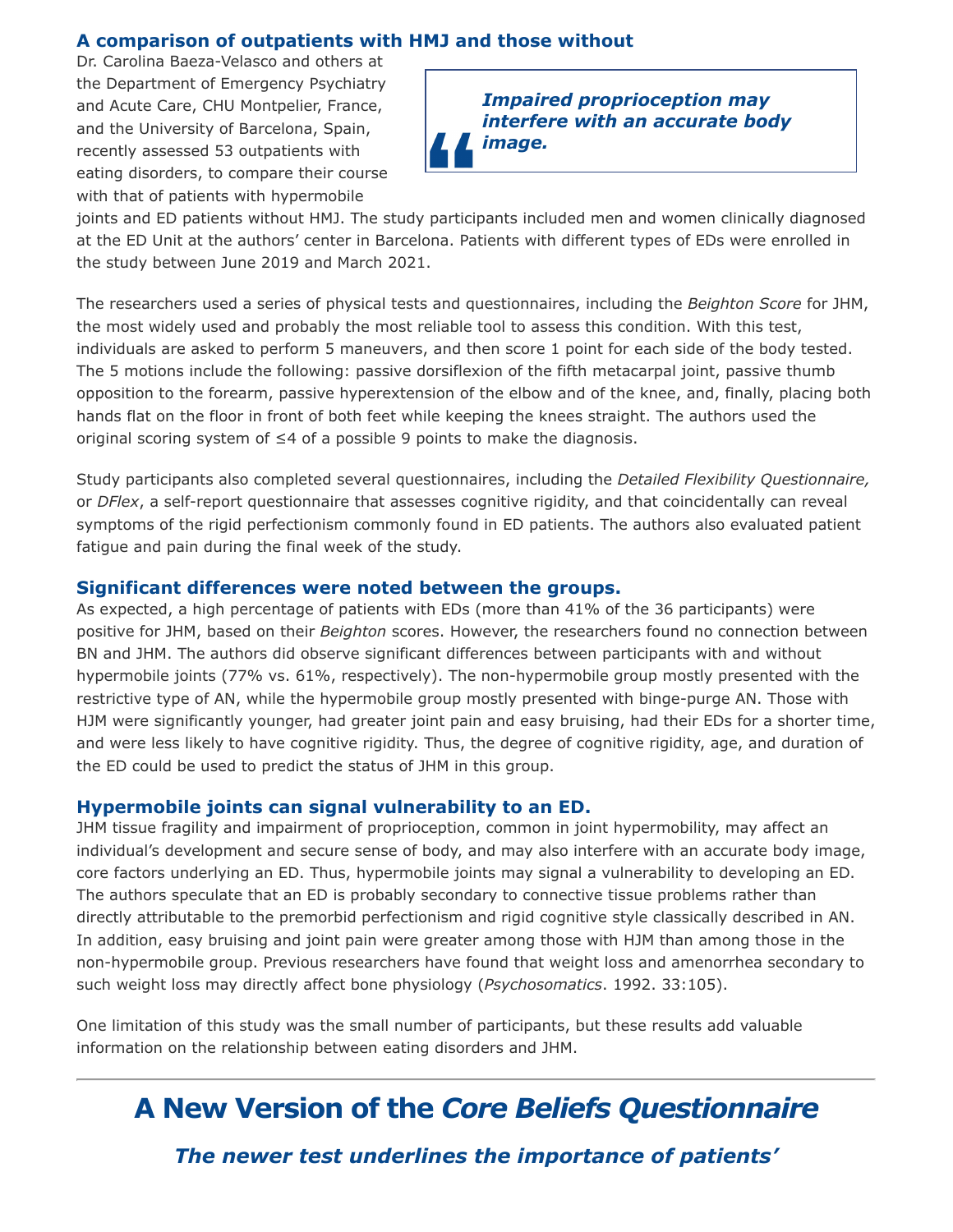### **A comparison of outpatients with HMJ and those without**

Dr. Carolina Baeza-Velasco and others at the Department of Emergency Psychiatry and Acute Care, CHU Montpelier, France, and the University of Barcelona, Spain, recently assessed 53 outpatients with eating disorders, to compare their course with that of patients with hypermobile



joints and ED patients without HMJ. The study participants included men and women clinically diagnosed at the ED Unit at the authors' center in Barcelona. Patients with different types of EDs were enrolled in the study between June 2019 and March 2021.

The researchers used a series of physical tests and questionnaires, including the *Beighton Score* for JHM, the most widely used and probably the most reliable tool to assess this condition. With this test, individuals are asked to perform 5 maneuvers, and then score 1 point for each side of the body tested. The 5 motions include the following: passive dorsiflexion of the fifth metacarpal joint, passive thumb opposition to the forearm, passive hyperextension of the elbow and of the knee, and, finally, placing both hands flat on the floor in front of both feet while keeping the knees straight. The authors used the original scoring system of ≤4 of a possible 9 points to make the diagnosis.

Study participants also completed several questionnaires, including the *Detailed Flexibility Questionnaire,* or *DFlex*, a self-report questionnaire that assesses cognitive rigidity, and that coincidentally can reveal symptoms of the rigid perfectionism commonly found in ED patients. The authors also evaluated patient fatigue and pain during the final week of the study.

#### **Significant differences were noted between the groups.**

As expected, a high percentage of patients with EDs (more than 41% of the 36 participants) were positive for JHM, based on their *Beighton* scores. However, the researchers found no connection between BN and JHM. The authors did observe significant differences between participants with and without hypermobile joints (77% vs. 61%, respectively). The non-hypermobile group mostly presented with the restrictive type of AN, while the hypermobile group mostly presented with binge-purge AN. Those with HJM were significantly younger, had greater joint pain and easy bruising, had their EDs for a shorter time, and were less likely to have cognitive rigidity. Thus, the degree of cognitive rigidity, age, and duration of the ED could be used to predict the status of JHM in this group.

#### **Hypermobile joints can signal vulnerability to an ED.**

JHM tissue fragility and impairment of proprioception, common in joint hypermobility, may affect an individual's development and secure sense of body, and may also interfere with an accurate body image, core factors underlying an ED. Thus, hypermobile joints may signal a vulnerability to developing an ED. The authors speculate that an ED is probably secondary to connective tissue problems rather than directly attributable to the premorbid perfectionism and rigid cognitive style classically described in AN. In addition, easy bruising and joint pain were greater among those with HJM than among those in the non-hypermobile group. Previous researchers have found that weight loss and amenorrhea secondary to such weight loss may directly affect bone physiology (*Psychosomatics*. 1992. 33:105).

One limitation of this study was the small number of participants, but these results add valuable information on the relationship between eating disorders and JHM.

# **A New Version of the** *Core Beliefs Questionnaire*

*The newer test underlines the importance of patients'*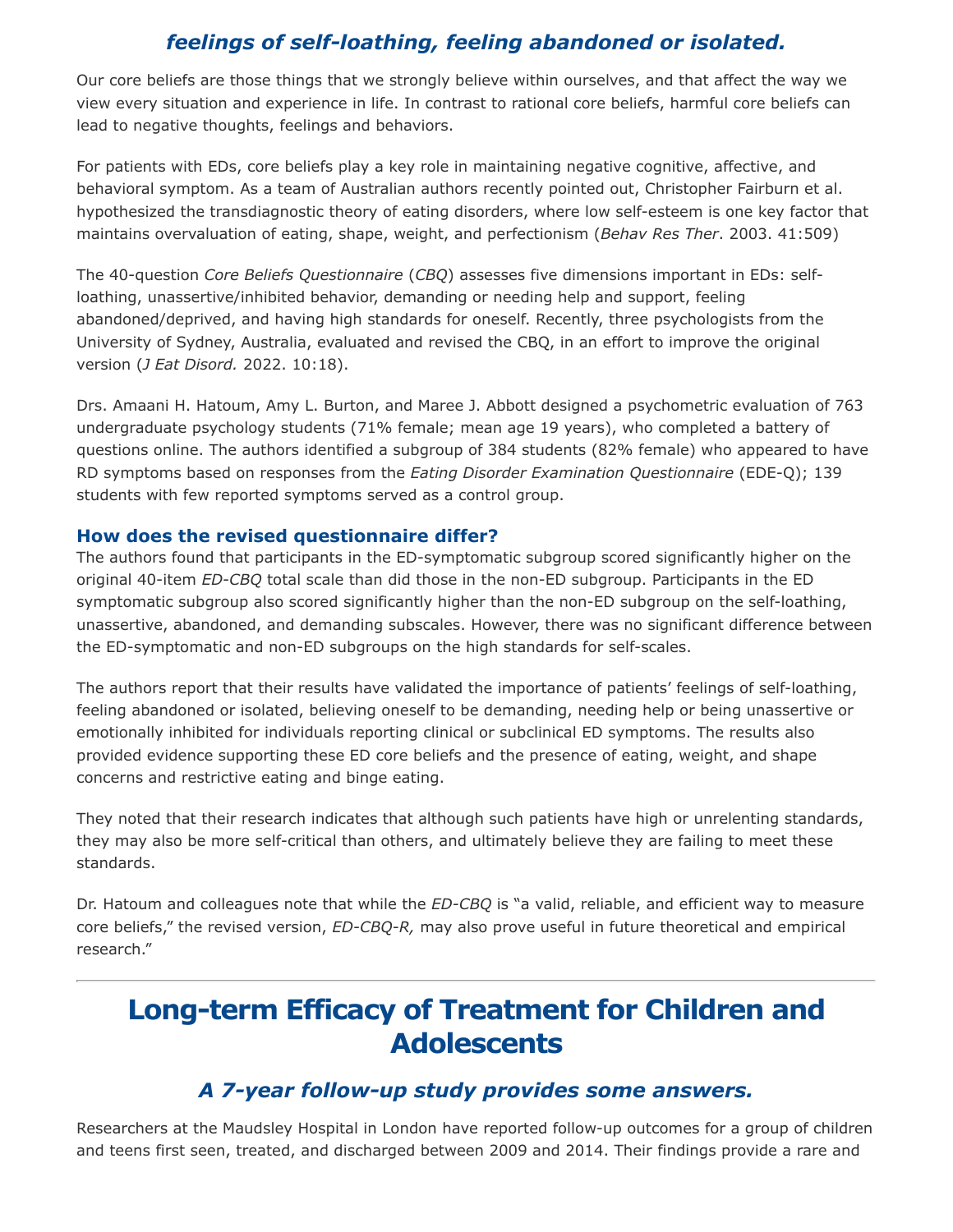## *feelings of self-loathing, feeling abandoned or isolated.*

Our core beliefs are those things that we strongly believe within ourselves, and that affect the way we view every situation and experience in life. In contrast to rational core beliefs, harmful core beliefs can lead to negative thoughts, feelings and behaviors.

For patients with EDs, core beliefs play a key role in maintaining negative cognitive, affective, and behavioral symptom. As a team of Australian authors recently pointed out, Christopher Fairburn et al. hypothesized the transdiagnostic theory of eating disorders, where low self-esteem is one key factor that maintains overvaluation of eating, shape, weight, and perfectionism (*Behav Res Ther*. 2003. 41:509)

The 40-question *Core Beliefs Questionnaire* (*CBQ*) assesses five dimensions important in EDs: selfloathing, unassertive/inhibited behavior, demanding or needing help and support, feeling abandoned/deprived, and having high standards for oneself. Recently, three psychologists from the University of Sydney, Australia, evaluated and revised the CBQ, in an effort to improve the original version (*J Eat Disord.* 2022. 10:18).

Drs. Amaani H. Hatoum, Amy L. Burton, and Maree J. Abbott designed a psychometric evaluation of 763 undergraduate psychology students (71% female; mean age 19 years), who completed a battery of questions online. The authors identified a subgroup of 384 students (82% female) who appeared to have RD symptoms based on responses from the *Eating Disorder Examination Questionnaire* (EDE-Q); 139 students with few reported symptoms served as a control group.

#### **How does the revised questionnaire differ?**

The authors found that participants in the ED-symptomatic subgroup scored significantly higher on the original 40-item *ED-CBQ* total scale than did those in the non-ED subgroup. Participants in the ED symptomatic subgroup also scored significantly higher than the non-ED subgroup on the self-loathing, unassertive, abandoned, and demanding subscales. However, there was no significant difference between the ED-symptomatic and non-ED subgroups on the high standards for self-scales.

The authors report that their results have validated the importance of patients' feelings of self-loathing, feeling abandoned or isolated, believing oneself to be demanding, needing help or being unassertive or emotionally inhibited for individuals reporting clinical or subclinical ED symptoms. The results also provided evidence supporting these ED core beliefs and the presence of eating, weight, and shape concerns and restrictive eating and binge eating.

They noted that their research indicates that although such patients have high or unrelenting standards, they may also be more self-critical than others, and ultimately believe they are failing to meet these standards.

Dr. Hatoum and colleagues note that while the *ED-CBQ* is "a valid, reliable, and efficient way to measure core beliefs," the revised version, *ED-CBQ-R,* may also prove useful in future theoretical and empirical research."

## **Long-term Efficacy of Treatment for Children and Adolescents**

### *A 7-year follow-up study provides some answers.*

Researchers at the Maudsley Hospital in London have reported follow-up outcomes for a group of children and teens first seen, treated, and discharged between 2009 and 2014. Their findings provide a rare and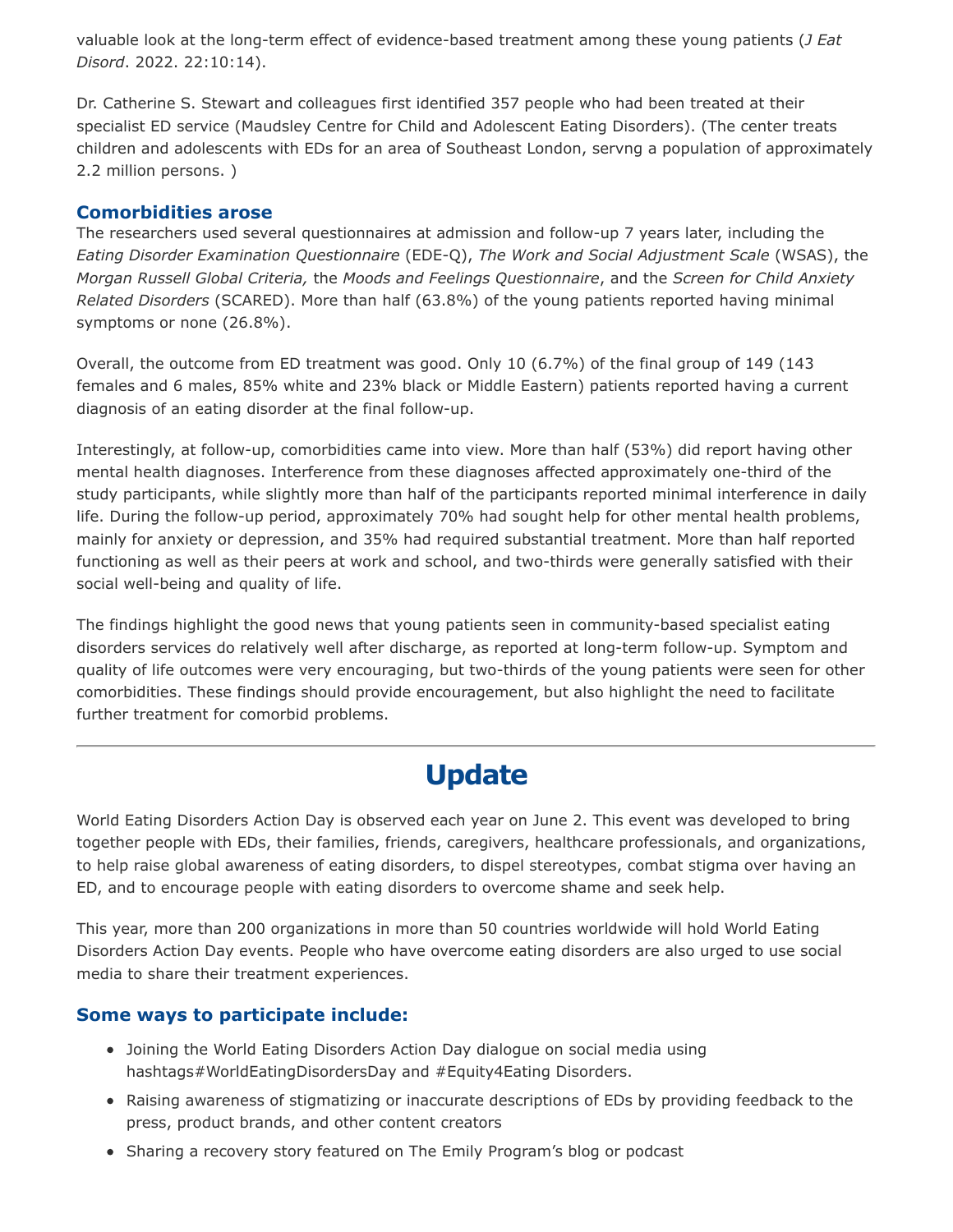valuable look at the long-term effect of evidence-based treatment among these young patients (*J Eat Disord*. 2022. 22:10:14).

Dr. Catherine S. Stewart and colleagues first identified 357 people who had been treated at their specialist ED service (Maudsley Centre for Child and Adolescent Eating Disorders). (The center treats children and adolescents with EDs for an area of Southeast London, servng a population of approximately 2.2 million persons. )

### **Comorbidities arose**

The researchers used several questionnaires at admission and follow-up 7 years later, including the *Eating Disorder Examination Questionnaire* (EDE-Q), *The Work and Social Adjustment Scale* (WSAS), the *Morgan Russell Global Criteria,* the *Moods and Feelings Questionnaire*, and the *Screen for Child Anxiety Related Disorders* (SCARED). More than half (63.8%) of the young patients reported having minimal symptoms or none (26.8%).

Overall, the outcome from ED treatment was good. Only 10 (6.7%) of the final group of 149 (143 females and 6 males, 85% white and 23% black or Middle Eastern) patients reported having a current diagnosis of an eating disorder at the final follow-up.

Interestingly, at follow-up, comorbidities came into view. More than half (53%) did report having other mental health diagnoses. Interference from these diagnoses affected approximately one-third of the study participants, while slightly more than half of the participants reported minimal interference in daily life. During the follow-up period, approximately 70% had sought help for other mental health problems, mainly for anxiety or depression, and 35% had required substantial treatment. More than half reported functioning as well as their peers at work and school, and two-thirds were generally satisfied with their social well-being and quality of life.

The findings highlight the good news that young patients seen in community-based specialist eating disorders services do relatively well after discharge, as reported at long-term follow-up. Symptom and quality of life outcomes were very encouraging, but two-thirds of the young patients were seen for other comorbidities. These findings should provide encouragement, but also highlight the need to facilitate further treatment for comorbid problems.

# **Update**

World Eating Disorders Action Day is observed each year on June 2. This event was developed to bring together people with EDs, their families, friends, caregivers, healthcare professionals, and organizations, to help raise global awareness of eating disorders, to dispel stereotypes, combat stigma over having an ED, and to encourage people with eating disorders to overcome shame and seek help.

This year, more than 200 organizations in more than 50 countries worldwide will hold World Eating Disorders Action Day events. People who have overcome eating disorders are also urged to use social media to share their treatment experiences.

### **Some ways to participate include:**

- Joining the World Eating Disorders Action Day dialogue on social media using hashtags#WorldEatingDisordersDay and #Equity4Eating Disorders.
- Raising awareness of stigmatizing or inaccurate descriptions of EDs by providing feedback to the press, product brands, and other content creators
- Sharing a recovery story featured on The Emily Program's blog or podcast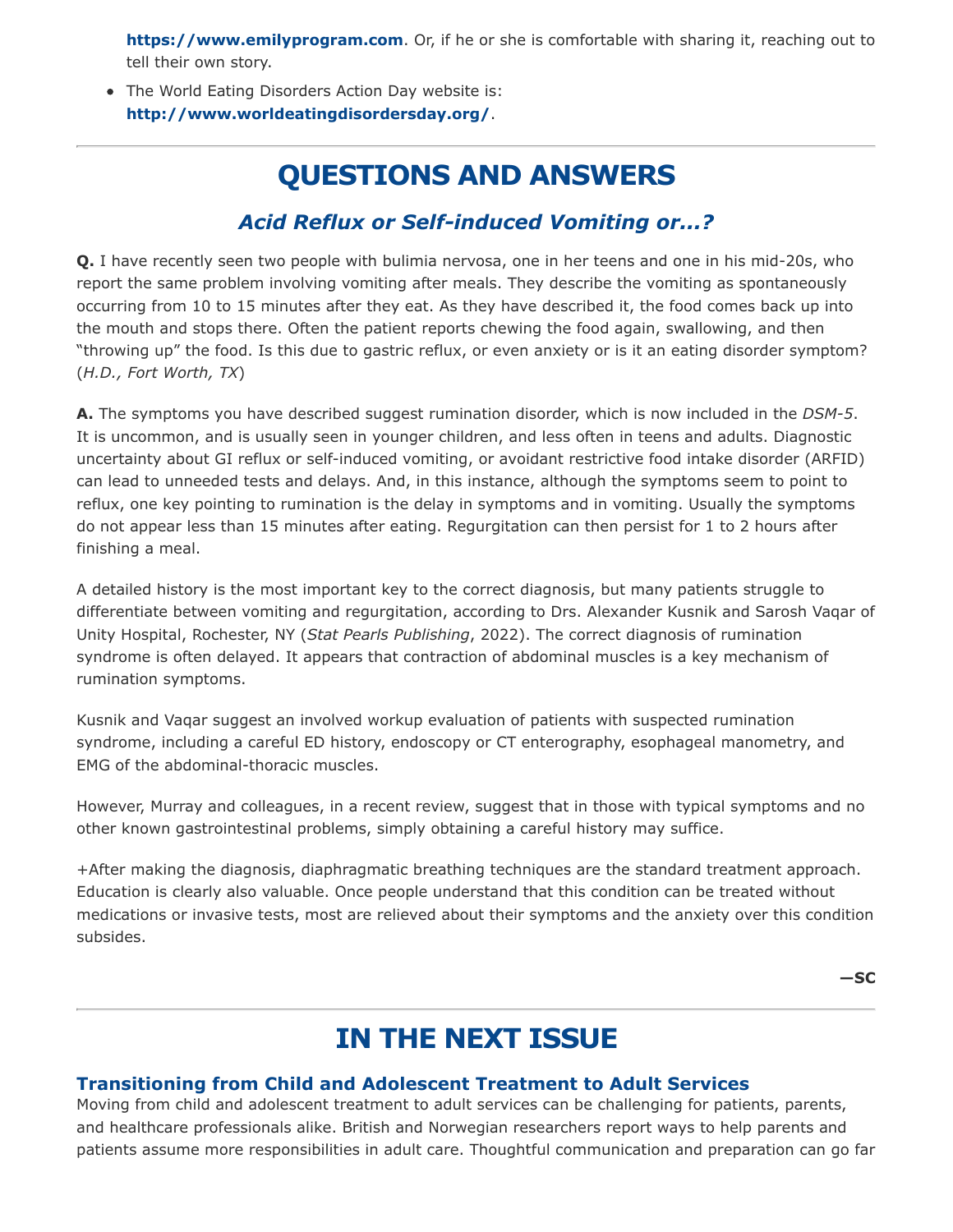**[https://www.emilyprogram.com](https://www.emilyprogram.com/)**. Or, if he or she is comfortable with sharing it, reaching out to tell their own story.

• The World Eating Disorders Action Day website is: **<http://www.worldeatingdisordersday.org/>**.

# **QUESTIONS AND ANSWERS**

## *Acid Reflux or Self-induced Vomiting or...?*

**Q.** I have recently seen two people with bulimia nervosa, one in her teens and one in his mid-20s, who report the same problem involving vomiting after meals. They describe the vomiting as spontaneously occurring from 10 to 15 minutes after they eat. As they have described it, the food comes back up into the mouth and stops there. Often the patient reports chewing the food again, swallowing, and then "throwing up" the food. Is this due to gastric reflux, or even anxiety or is it an eating disorder symptom? (*H.D., Fort Worth, TX*)

**A.** The symptoms you have described suggest rumination disorder, which is now included in the *DSM-5*. It is uncommon, and is usually seen in younger children, and less often in teens and adults. Diagnostic uncertainty about GI reflux or self-induced vomiting, or avoidant restrictive food intake disorder (ARFID) can lead to unneeded tests and delays. And, in this instance, although the symptoms seem to point to reflux, one key pointing to rumination is the delay in symptoms and in vomiting. Usually the symptoms do not appear less than 15 minutes after eating. Regurgitation can then persist for 1 to 2 hours after finishing a meal.

A detailed history is the most important key to the correct diagnosis, but many patients struggle to differentiate between vomiting and regurgitation, according to Drs. Alexander Kusnik and Sarosh Vaqar of Unity Hospital, Rochester, NY (*Stat Pearls Publishing*, 2022). The correct diagnosis of rumination syndrome is often delayed. It appears that contraction of abdominal muscles is a key mechanism of rumination symptoms.

Kusnik and Vaqar suggest an involved workup evaluation of patients with suspected rumination syndrome, including a careful ED history, endoscopy or CT enterography, esophageal manometry, and EMG of the abdominal-thoracic muscles.

However, Murray and colleagues, in a recent review, suggest that in those with typical symptoms and no other known gastrointestinal problems, simply obtaining a careful history may suffice.

+After making the diagnosis, diaphragmatic breathing techniques are the standard treatment approach. Education is clearly also valuable. Once people understand that this condition can be treated without medications or invasive tests, most are relieved about their symptoms and the anxiety over this condition subsides.

**—SC**

## **IN THE NEXT ISSUE**

### **Transitioning from Child and Adolescent Treatment to Adult Services**

Moving from child and adolescent treatment to adult services can be challenging for patients, parents, and healthcare professionals alike. British and Norwegian researchers report ways to help parents and patients assume more responsibilities in adult care. Thoughtful communication and preparation can go far